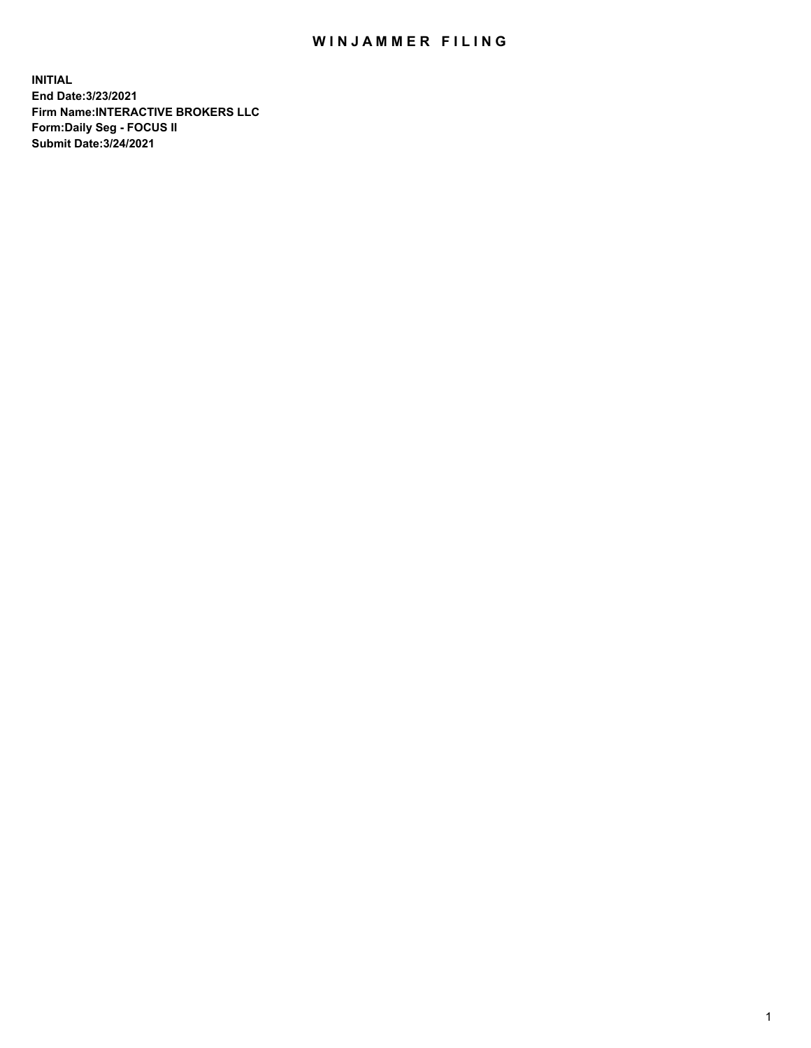## WIN JAMMER FILING

**INITIAL End Date:3/23/2021 Firm Name:INTERACTIVE BROKERS LLC Form:Daily Seg - FOCUS II Submit Date:3/24/2021**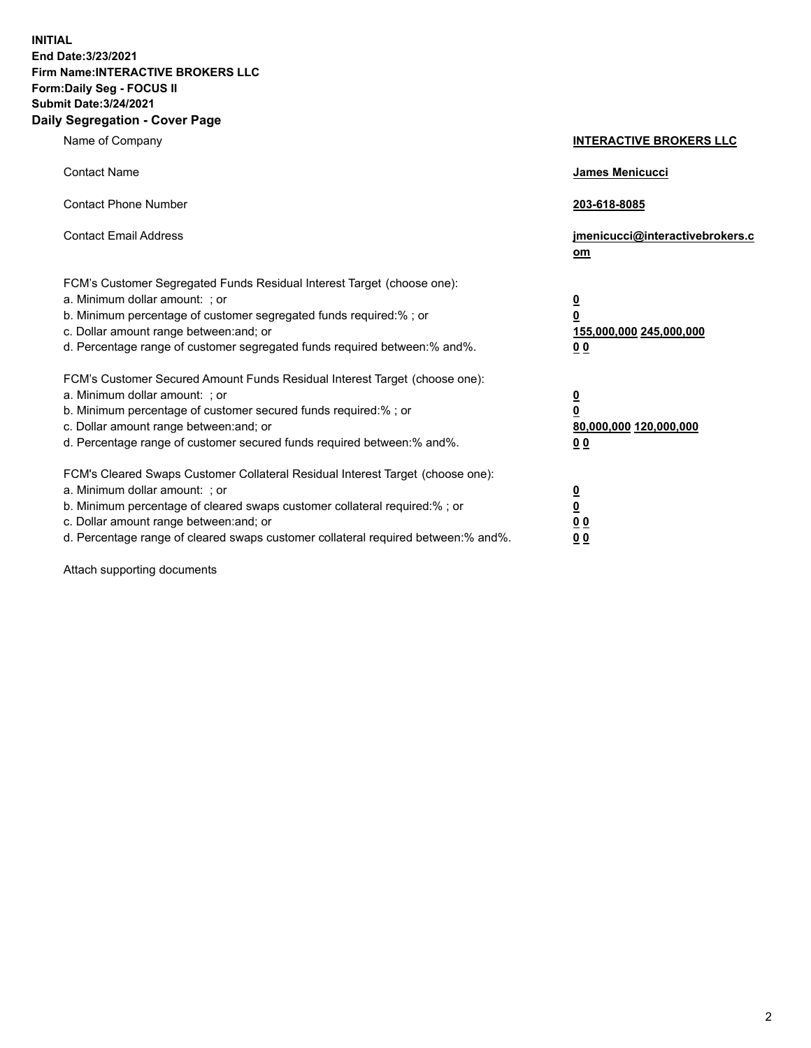**INITIAL End Date:3/23/2021 Firm Name:INTERACTIVE BROKERS LLC Form:Daily Seg - FOCUS II Submit Date:3/24/2021 Daily Segregation - Cover Page**

| Name of Company                                                                                                                                                                                                                                                                                                                | <b>INTERACTIVE BROKERS LLC</b>                                                   |  |
|--------------------------------------------------------------------------------------------------------------------------------------------------------------------------------------------------------------------------------------------------------------------------------------------------------------------------------|----------------------------------------------------------------------------------|--|
| <b>Contact Name</b>                                                                                                                                                                                                                                                                                                            | James Menicucci                                                                  |  |
| <b>Contact Phone Number</b>                                                                                                                                                                                                                                                                                                    | 203-618-8085                                                                     |  |
| <b>Contact Email Address</b>                                                                                                                                                                                                                                                                                                   | jmenicucci@interactivebrokers.c<br>om                                            |  |
| FCM's Customer Segregated Funds Residual Interest Target (choose one):<br>a. Minimum dollar amount: ; or<br>b. Minimum percentage of customer segregated funds required:% ; or<br>c. Dollar amount range between: and; or<br>d. Percentage range of customer segregated funds required between:% and%.                         | <u>0</u><br>$\overline{\mathbf{0}}$<br>155,000,000 245,000,000<br>0 <sub>0</sub> |  |
| FCM's Customer Secured Amount Funds Residual Interest Target (choose one):<br>a. Minimum dollar amount: ; or<br>b. Minimum percentage of customer secured funds required:% ; or<br>c. Dollar amount range between: and; or<br>d. Percentage range of customer secured funds required between:% and%.                           | <u>0</u><br>$\overline{\mathbf{0}}$<br>80,000,000 120,000,000<br>0 <sub>0</sub>  |  |
| FCM's Cleared Swaps Customer Collateral Residual Interest Target (choose one):<br>a. Minimum dollar amount: ; or<br>b. Minimum percentage of cleared swaps customer collateral required:% ; or<br>c. Dollar amount range between: and; or<br>d. Percentage range of cleared swaps customer collateral required between:% and%. | <u>0</u><br>$\underline{\mathbf{0}}$<br>0 <sub>0</sub><br>0 <sub>0</sub>         |  |

Attach supporting documents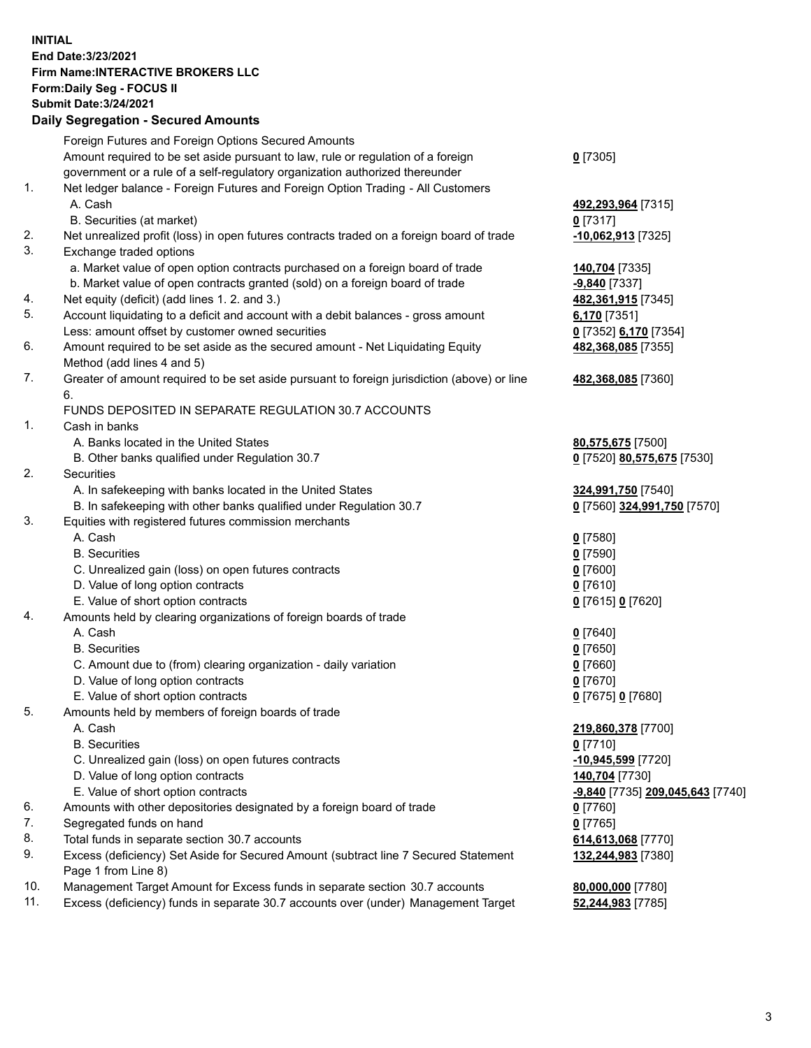**INITIAL End Date:3/23/2021 Firm Name:INTERACTIVE BROKERS LLC Form:Daily Seg - FOCUS II Submit Date:3/24/2021 Daily Segregation - Secured Amounts**

## Foreign Futures and Foreign Options Secured Amounts Amount required to be set aside pursuant to law, rule or regulation of a foreign government or a rule of a self-regulatory organization authorized thereunder **0** [7305] 1. Net ledger balance - Foreign Futures and Foreign Option Trading - All Customers A. Cash **492,293,964** [7315] B. Securities (at market) **0** [7317] 2. Net unrealized profit (loss) in open futures contracts traded on a foreign board of trade **-10,062,913** [7325] 3. Exchange traded options a. Market value of open option contracts purchased on a foreign board of trade **140,704** [7335] b. Market value of open contracts granted (sold) on a foreign board of trade **-9,840** [7337] 4. Net equity (deficit) (add lines 1. 2. and 3.) **482,361,915** [7345] 5. Account liquidating to a deficit and account with a debit balances - gross amount **6,170** [7351] Less: amount offset by customer owned securities **0** [7352] **6,170** [7354] 6. Amount required to be set aside as the secured amount - Net Liquidating Equity Method (add lines 4 and 5) **482,368,085** [7355] 7. Greater of amount required to be set aside pursuant to foreign jurisdiction (above) or line 6. **482,368,085** [7360] FUNDS DEPOSITED IN SEPARATE REGULATION 30.7 ACCOUNTS 1. Cash in banks A. Banks located in the United States **80,575,675** [7500] B. Other banks qualified under Regulation 30.7 **0** [7520] **80,575,675** [7530] 2. Securities A. In safekeeping with banks located in the United States **324,991,750** [7540] B. In safekeeping with other banks qualified under Regulation 30.7 **0** [7560] **324,991,750** [7570] 3. Equities with registered futures commission merchants A. Cash **0** [7580] B. Securities **0** [7590] C. Unrealized gain (loss) on open futures contracts **0** [7600] D. Value of long option contracts **0** [7610] E. Value of short option contracts **0** [7615] **0** [7620] 4. Amounts held by clearing organizations of foreign boards of trade A. Cash **0** [7640] B. Securities **0** [7650] C. Amount due to (from) clearing organization - daily variation **0** [7660] D. Value of long option contracts **0** [7670] E. Value of short option contracts **0** [7675] **0** [7680] 5. Amounts held by members of foreign boards of trade A. Cash **219,860,378** [7700] B. Securities **0** [7710] C. Unrealized gain (loss) on open futures contracts **-10,945,599** [7720] D. Value of long option contracts **140,704** [7730] E. Value of short option contracts **-9,840** [7735] **209,045,643** [7740] 6. Amounts with other depositories designated by a foreign board of trade **0** [7760] 7. Segregated funds on hand<br>8. Total funds in separate section 30.7 accounts **0.0 million and Contract Contract Contract Contract Contract** Co 8. Total funds in separate section 30.7 accounts 9. Excess (deficiency) Set Aside for Secured Amount (subtract line 7 Secured Statement Page 1 from Line 8) **132,244,983** [7380] 10. Management Target Amount for Excess funds in separate section 30.7 accounts **80,000,000** [7780] 11. Excess (deficiency) funds in separate 30.7 accounts over (under) Management Target **52,244,983** [7785]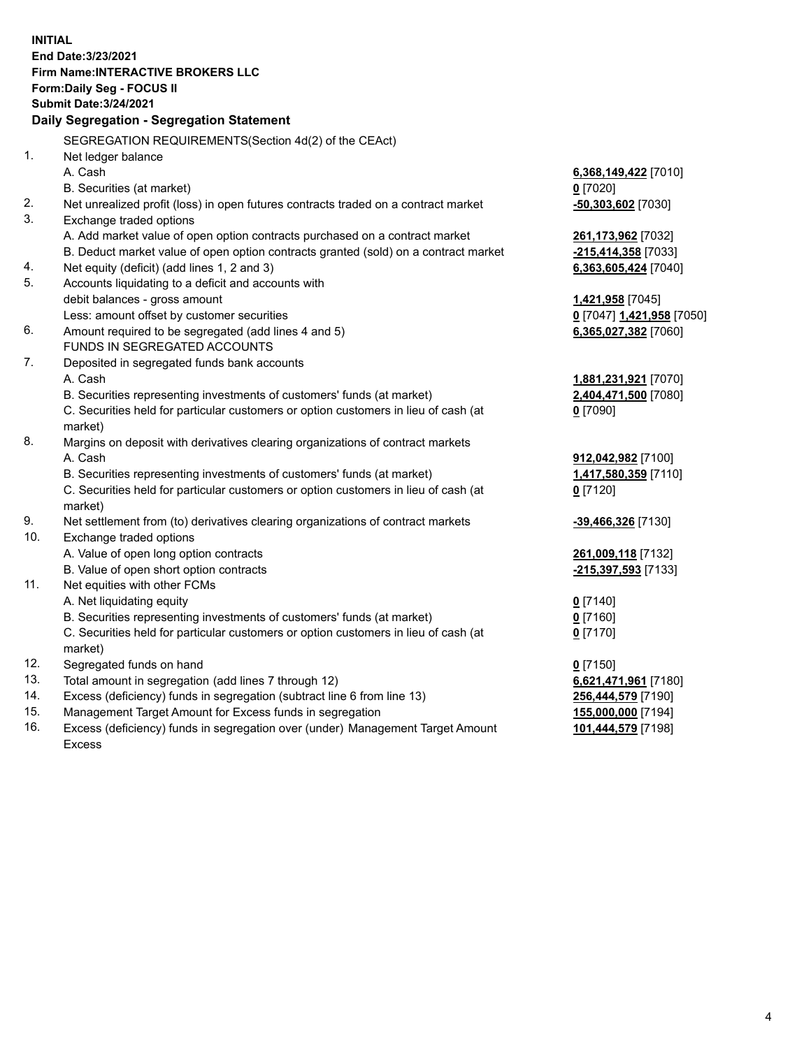**INITIAL End Date:3/23/2021 Firm Name:INTERACTIVE BROKERS LLC Form:Daily Seg - FOCUS II Submit Date:3/24/2021 Daily Segregation - Segregation Statement** SEGREGATION REQUIREMENTS(Section 4d(2) of the CEAct) 1. Net ledger balance A. Cash **6,368,149,422** [7010] B. Securities (at market) **0** [7020] 2. Net unrealized profit (loss) in open futures contracts traded on a contract market **-50,303,602** [7030] 3. Exchange traded options A. Add market value of open option contracts purchased on a contract market **261,173,962** [7032] B. Deduct market value of open option contracts granted (sold) on a contract market **-215,414,358** [7033] 4. Net equity (deficit) (add lines 1, 2 and 3) **6,363,605,424** [7040] 5. Accounts liquidating to a deficit and accounts with debit balances - gross amount **1,421,958** [7045] Less: amount offset by customer securities **0** [7047] **1,421,958** [7050] 6. Amount required to be segregated (add lines 4 and 5) **6,365,027,382** [7060] FUNDS IN SEGREGATED ACCOUNTS 7. Deposited in segregated funds bank accounts A. Cash **1,881,231,921** [7070] B. Securities representing investments of customers' funds (at market) **2,404,471,500** [7080] C. Securities held for particular customers or option customers in lieu of cash (at market) **0** [7090] 8. Margins on deposit with derivatives clearing organizations of contract markets A. Cash **912,042,982** [7100] B. Securities representing investments of customers' funds (at market) **1,417,580,359** [7110] C. Securities held for particular customers or option customers in lieu of cash (at market) **0** [7120] 9. Net settlement from (to) derivatives clearing organizations of contract markets **-39,466,326** [7130] 10. Exchange traded options A. Value of open long option contracts **261,009,118** [7132] B. Value of open short option contracts **-215,397,593** [7133] 11. Net equities with other FCMs A. Net liquidating equity **0** [7140] B. Securities representing investments of customers' funds (at market) **0** [7160] C. Securities held for particular customers or option customers in lieu of cash (at market) **0** [7170] 12. Segregated funds on hand **0** [7150] 13. Total amount in segregation (add lines 7 through 12) **6,621,471,961** [7180] 14. Excess (deficiency) funds in segregation (subtract line 6 from line 13) **256,444,579** [7190] 15. Management Target Amount for Excess funds in segregation **155,000,000** [7194] 16. Excess (deficiency) funds in segregation over (under) Management Target Amount **101,444,579** [7198]

Excess